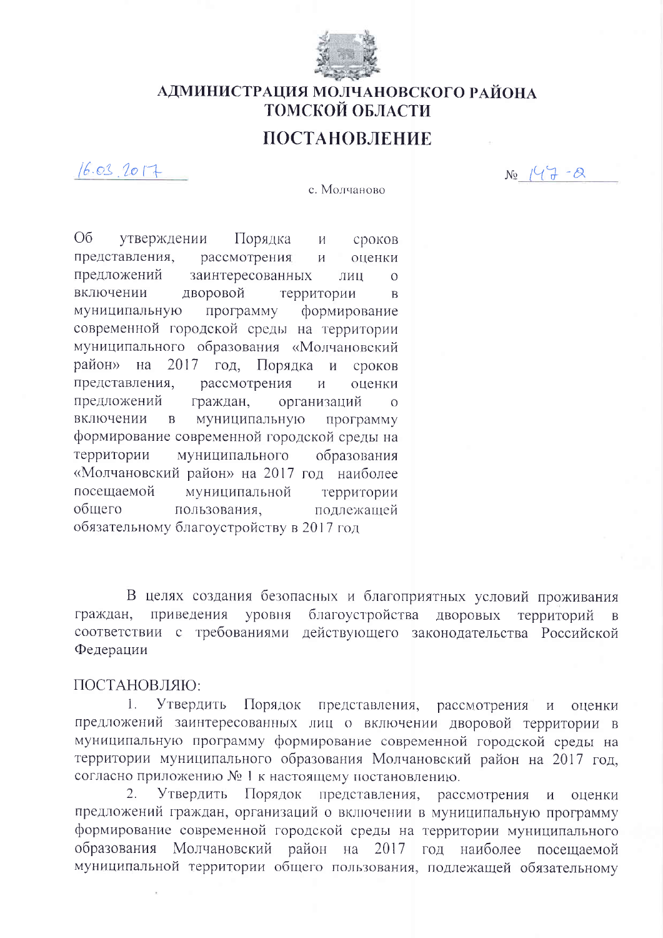

## АДМИНИСТРАЦИЯ МОЛЧАНОВСКОГО РАЙОНА ТОМСКОЙ ОБЛАСТИ

## ПОСТАНОВЛЕНИЕ

с. Молчаново

 $16.03$  2017

 $N_9$   $147 - 8$ 

O<sub>6</sub> утверждении Порядка сроков  $\overline{M}$ представления, рассмотрения оценки  $\overline{M}$ предложений заинтересованных лип  $\overline{O}$ включении дворовой территории  $\overline{B}$ муниципальную программу формирование современной городской среды на территории муниципального образования «Молчановский район» на 2017 год. Порядка  $\overline{M}$ сроков представления, рассмотрения  $\overline{M}$ оценки предложений граждан, организаций  $\Omega$ включении муниципальную  $\mathbf{B}$ программу формирование современной городской среды на территории муниципального образования «Молчановский район» на 2017 год наиболее посешаемой муниципальной территории общего пользования. подлежащей обязательному благоустройству в 2017 год

В целях создания безопасных и благоприятных условий проживания благоустройства дворовых территорий граждан, приведения уровня соответствии с требованиями действующего законодательства Российской Федерации

## ПОСТАНОВЛЯЮ:

Утвердить  $\mathbf{L}$ Порядок представления, рассмотрения И оценки предложений заинтересованных лиц о включении дворовой территории в муниципальную программу формирование современной городской среды на территории муниципального образования Молчановский район на 2017 год. согласно приложению № 1 к настоящему постановлению.

 $2.$ Утвердить Порядок представления, рассмотрения оценки  $\boldsymbol{\mathrm{M}}$ предложений граждан, организаций о включении в муниципальную программу формирование современной городской среды на территории муниципального образования Молчановский район на 2017 год наиболее посешаемой муниципальной территории общего пользования, подлежащей обязательному